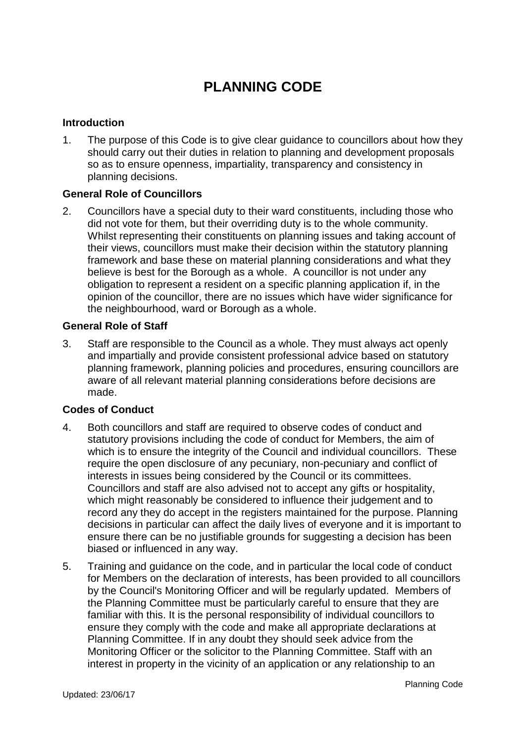# **PLANNING CODE**

# **Introduction**

1. The purpose of this Code is to give clear guidance to councillors about how they should carry out their duties in relation to planning and development proposals so as to ensure openness, impartiality, transparency and consistency in planning decisions.

# **General Role of Councillors**

2. Councillors have a special duty to their ward constituents, including those who did not vote for them, but their overriding duty is to the whole community. Whilst representing their constituents on planning issues and taking account of their views, councillors must make their decision within the statutory planning framework and base these on material planning considerations and what they believe is best for the Borough as a whole. A councillor is not under any obligation to represent a resident on a specific planning application if, in the opinion of the councillor, there are no issues which have wider significance for the neighbourhood, ward or Borough as a whole.

#### **General Role of Staff**

3. Staff are responsible to the Council as a whole. They must always act openly and impartially and provide consistent professional advice based on statutory planning framework, planning policies and procedures, ensuring councillors are aware of all relevant material planning considerations before decisions are made.

#### **Codes of Conduct**

- 4. Both councillors and staff are required to observe codes of conduct and statutory provisions including the code of conduct for Members, the aim of which is to ensure the integrity of the Council and individual councillors. These require the open disclosure of any pecuniary, non-pecuniary and conflict of interests in issues being considered by the Council or its committees. Councillors and staff are also advised not to accept any gifts or hospitality, which might reasonably be considered to influence their judgement and to record any they do accept in the registers maintained for the purpose. Planning decisions in particular can affect the daily lives of everyone and it is important to ensure there can be no justifiable grounds for suggesting a decision has been biased or influenced in any way.
- 5. Training and guidance on the code, and in particular the local code of conduct for Members on the declaration of interests, has been provided to all councillors by the Council's Monitoring Officer and will be regularly updated. Members of the Planning Committee must be particularly careful to ensure that they are familiar with this. It is the personal responsibility of individual councillors to ensure they comply with the code and make all appropriate declarations at Planning Committee. If in any doubt they should seek advice from the Monitoring Officer or the solicitor to the Planning Committee. Staff with an interest in property in the vicinity of an application or any relationship to an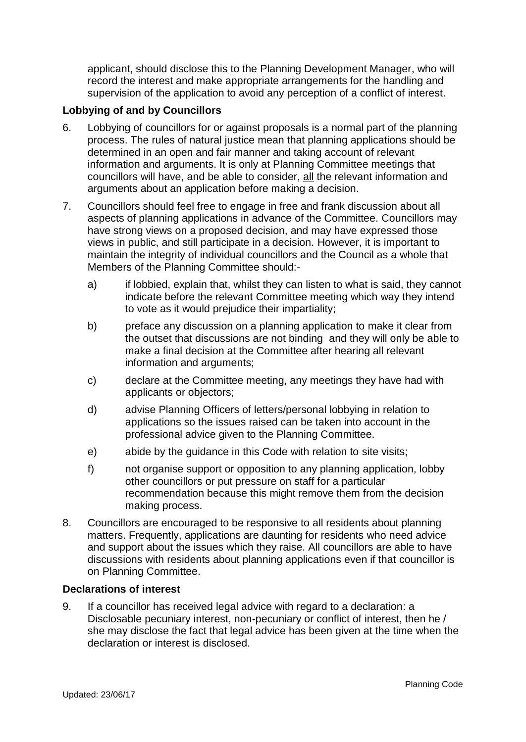applicant, should disclose this to the Planning Development Manager, who will record the interest and make appropriate arrangements for the handling and supervision of the application to avoid any perception of a conflict of interest.

# **Lobbying of and by Councillors**

- 6. Lobbying of councillors for or against proposals is a normal part of the planning process. The rules of natural justice mean that planning applications should be determined in an open and fair manner and taking account of relevant information and arguments. It is only at Planning Committee meetings that councillors will have, and be able to consider, all the relevant information and arguments about an application before making a decision.
- 7. Councillors should feel free to engage in free and frank discussion about all aspects of planning applications in advance of the Committee. Councillors may have strong views on a proposed decision, and may have expressed those views in public, and still participate in a decision. However, it is important to maintain the integrity of individual councillors and the Council as a whole that Members of the Planning Committee should:
	- a) if lobbied, explain that, whilst they can listen to what is said, they cannot indicate before the relevant Committee meeting which way they intend to vote as it would prejudice their impartiality;
	- b) preface any discussion on a planning application to make it clear from the outset that discussions are not binding and they will only be able to make a final decision at the Committee after hearing all relevant information and arguments;
	- c) declare at the Committee meeting, any meetings they have had with applicants or objectors;
	- d) advise Planning Officers of letters/personal lobbying in relation to applications so the issues raised can be taken into account in the professional advice given to the Planning Committee.
	- e) abide by the guidance in this Code with relation to site visits;
	- f) not organise support or opposition to any planning application, lobby other councillors or put pressure on staff for a particular recommendation because this might remove them from the decision making process.
- 8. Councillors are encouraged to be responsive to all residents about planning matters. Frequently, applications are daunting for residents who need advice and support about the issues which they raise. All councillors are able to have discussions with residents about planning applications even if that councillor is on Planning Committee.

# **Declarations of interest**

9. If a councillor has received legal advice with regard to a declaration: a Disclosable pecuniary interest, non-pecuniary or conflict of interest, then he / she may disclose the fact that legal advice has been given at the time when the declaration or interest is disclosed.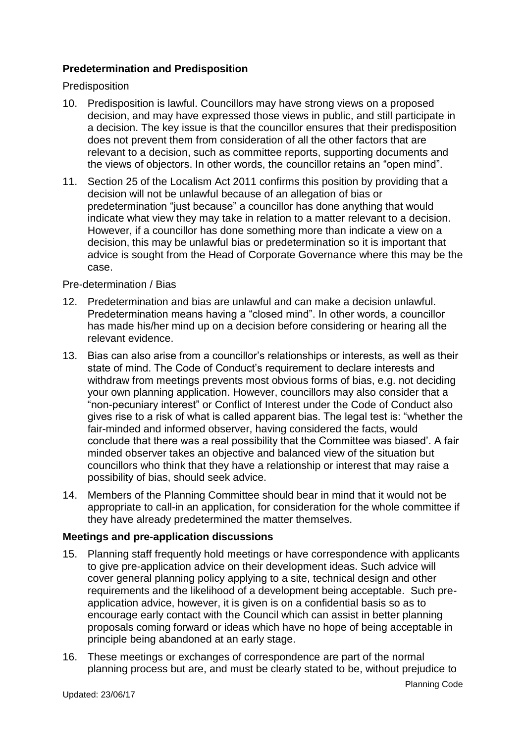# **Predetermination and Predisposition**

Predisposition

- 10. Predisposition is lawful. Councillors may have strong views on a proposed decision, and may have expressed those views in public, and still participate in a decision. The key issue is that the councillor ensures that their predisposition does not prevent them from consideration of all the other factors that are relevant to a decision, such as committee reports, supporting documents and the views of objectors. In other words, the councillor retains an "open mind".
- 11. Section 25 of the Localism Act 2011 confirms this position by providing that a decision will not be unlawful because of an allegation of bias or predetermination "just because" a councillor has done anything that would indicate what view they may take in relation to a matter relevant to a decision. However, if a councillor has done something more than indicate a view on a decision, this may be unlawful bias or predetermination so it is important that advice is sought from the Head of Corporate Governance where this may be the case.

#### Pre-determination / Bias

- 12. Predetermination and bias are unlawful and can make a decision unlawful. Predetermination means having a "closed mind". In other words, a councillor has made his/her mind up on a decision before considering or hearing all the relevant evidence.
- 13. Bias can also arise from a councillor's relationships or interests, as well as their state of mind. The Code of Conduct's requirement to declare interests and withdraw from meetings prevents most obvious forms of bias, e.g. not deciding your own planning application. However, councillors may also consider that a "non-pecuniary interest" or Conflict of Interest under the Code of Conduct also gives rise to a risk of what is called apparent bias. The legal test is: "whether the fair-minded and informed observer, having considered the facts, would conclude that there was a real possibility that the Committee was biased'. A fair minded observer takes an objective and balanced view of the situation but councillors who think that they have a relationship or interest that may raise a possibility of bias, should seek advice.
- 14. Members of the Planning Committee should bear in mind that it would not be appropriate to call-in an application, for consideration for the whole committee if they have already predetermined the matter themselves.

#### **Meetings and pre-application discussions**

- 15. Planning staff frequently hold meetings or have correspondence with applicants to give pre-application advice on their development ideas. Such advice will cover general planning policy applying to a site, technical design and other requirements and the likelihood of a development being acceptable. Such preapplication advice, however, it is given is on a confidential basis so as to encourage early contact with the Council which can assist in better planning proposals coming forward or ideas which have no hope of being acceptable in principle being abandoned at an early stage.
- 16. These meetings or exchanges of correspondence are part of the normal planning process but are, and must be clearly stated to be, without prejudice to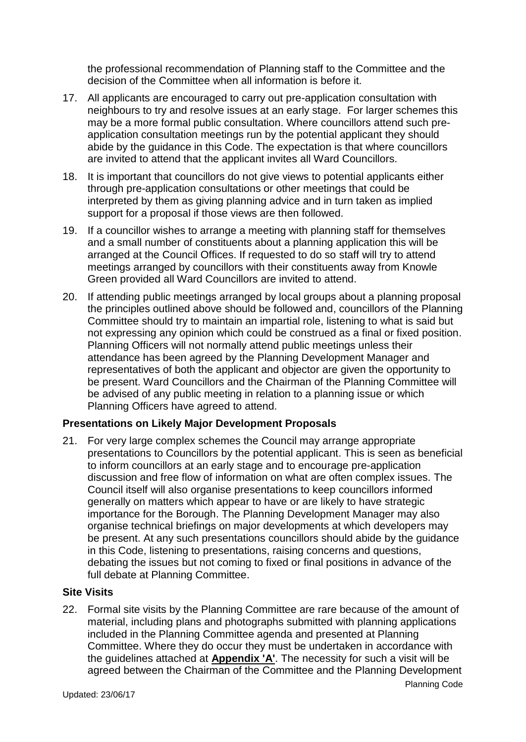the professional recommendation of Planning staff to the Committee and the decision of the Committee when all information is before it.

- 17. All applicants are encouraged to carry out pre-application consultation with neighbours to try and resolve issues at an early stage. For larger schemes this may be a more formal public consultation. Where councillors attend such preapplication consultation meetings run by the potential applicant they should abide by the guidance in this Code. The expectation is that where councillors are invited to attend that the applicant invites all Ward Councillors.
- 18. It is important that councillors do not give views to potential applicants either through pre-application consultations or other meetings that could be interpreted by them as giving planning advice and in turn taken as implied support for a proposal if those views are then followed.
- 19. If a councillor wishes to arrange a meeting with planning staff for themselves and a small number of constituents about a planning application this will be arranged at the Council Offices. If requested to do so staff will try to attend meetings arranged by councillors with their constituents away from Knowle Green provided all Ward Councillors are invited to attend.
- 20. If attending public meetings arranged by local groups about a planning proposal the principles outlined above should be followed and, councillors of the Planning Committee should try to maintain an impartial role, listening to what is said but not expressing any opinion which could be construed as a final or fixed position. Planning Officers will not normally attend public meetings unless their attendance has been agreed by the Planning Development Manager and representatives of both the applicant and objector are given the opportunity to be present. Ward Councillors and the Chairman of the Planning Committee will be advised of any public meeting in relation to a planning issue or which Planning Officers have agreed to attend.

#### **Presentations on Likely Major Development Proposals**

21. For very large complex schemes the Council may arrange appropriate presentations to Councillors by the potential applicant. This is seen as beneficial to inform councillors at an early stage and to encourage pre-application discussion and free flow of information on what are often complex issues. The Council itself will also organise presentations to keep councillors informed generally on matters which appear to have or are likely to have strategic importance for the Borough. The Planning Development Manager may also organise technical briefings on major developments at which developers may be present. At any such presentations councillors should abide by the guidance in this Code, listening to presentations, raising concerns and questions, debating the issues but not coming to fixed or final positions in advance of the full debate at Planning Committee.

#### **Site Visits**

Planning Code 22. Formal site visits by the Planning Committee are rare because of the amount of material, including plans and photographs submitted with planning applications included in the Planning Committee agenda and presented at Planning Committee. Where they do occur they must be undertaken in accordance with the guidelines attached at **Appendix 'A'**. The necessity for such a visit will be agreed between the Chairman of the Committee and the Planning Development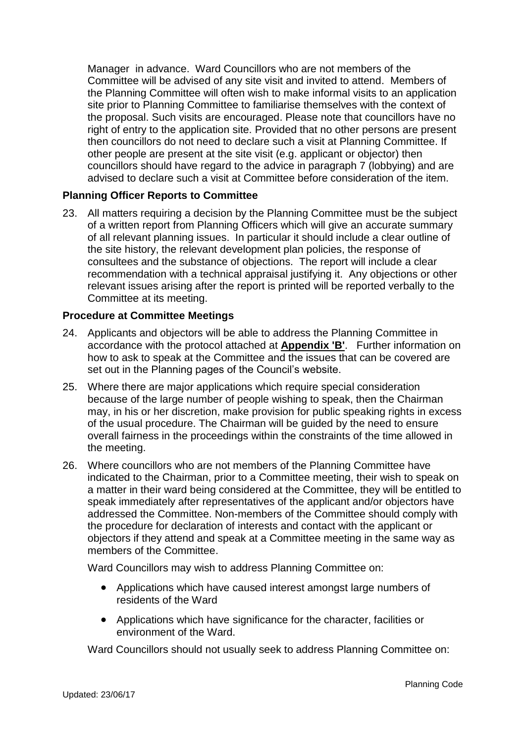Manager in advance. Ward Councillors who are not members of the Committee will be advised of any site visit and invited to attend. Members of the Planning Committee will often wish to make informal visits to an application site prior to Planning Committee to familiarise themselves with the context of the proposal. Such visits are encouraged. Please note that councillors have no right of entry to the application site. Provided that no other persons are present then councillors do not need to declare such a visit at Planning Committee. If other people are present at the site visit (e.g. applicant or objector) then councillors should have regard to the advice in paragraph 7 (lobbying) and are advised to declare such a visit at Committee before consideration of the item.

#### **Planning Officer Reports to Committee**

23. All matters requiring a decision by the Planning Committee must be the subject of a written report from Planning Officers which will give an accurate summary of all relevant planning issues. In particular it should include a clear outline of the site history, the relevant development plan policies, the response of consultees and the substance of objections. The report will include a clear recommendation with a technical appraisal justifying it. Any objections or other relevant issues arising after the report is printed will be reported verbally to the Committee at its meeting.

#### **Procedure at Committee Meetings**

- 24. Applicants and objectors will be able to address the Planning Committee in accordance with the protocol attached at **Appendix 'B'**. Further information on how to ask to speak at the Committee and the issues that can be covered are set out in the Planning pages of the Council's website.
- 25. Where there are major applications which require special consideration because of the large number of people wishing to speak, then the Chairman may, in his or her discretion, make provision for public speaking rights in excess of the usual procedure. The Chairman will be guided by the need to ensure overall fairness in the proceedings within the constraints of the time allowed in the meeting.
- 26. Where councillors who are not members of the Planning Committee have indicated to the Chairman, prior to a Committee meeting, their wish to speak on a matter in their ward being considered at the Committee, they will be entitled to speak immediately after representatives of the applicant and/or objectors have addressed the Committee. Non-members of the Committee should comply with the procedure for declaration of interests and contact with the applicant or objectors if they attend and speak at a Committee meeting in the same way as members of the Committee.

Ward Councillors may wish to address Planning Committee on:

- Applications which have caused interest amongst large numbers of residents of the Ward
- Applications which have significance for the character, facilities or environment of the Ward.

Ward Councillors should not usually seek to address Planning Committee on: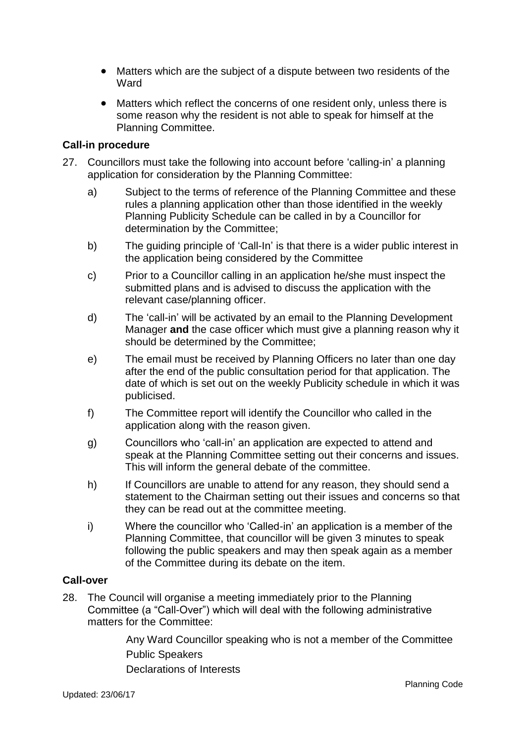- Matters which are the subject of a dispute between two residents of the **Ward**
- Matters which reflect the concerns of one resident only, unless there is some reason why the resident is not able to speak for himself at the Planning Committee.

#### **Call-in procedure**

- 27. Councillors must take the following into account before 'calling-in' a planning application for consideration by the Planning Committee:
	- a) Subject to the terms of reference of the Planning Committee and these rules a planning application other than those identified in the weekly Planning Publicity Schedule can be called in by a Councillor for determination by the Committee;
	- b) The guiding principle of 'Call-In' is that there is a wider public interest in the application being considered by the Committee
	- c) Prior to a Councillor calling in an application he/she must inspect the submitted plans and is advised to discuss the application with the relevant case/planning officer.
	- d) The 'call-in' will be activated by an email to the Planning Development Manager **and** the case officer which must give a planning reason why it should be determined by the Committee;
	- e) The email must be received by Planning Officers no later than one day after the end of the public consultation period for that application. The date of which is set out on the weekly Publicity schedule in which it was publicised.
	- f) The Committee report will identify the Councillor who called in the application along with the reason given.
	- g) Councillors who 'call-in' an application are expected to attend and speak at the Planning Committee setting out their concerns and issues. This will inform the general debate of the committee.
	- h) If Councillors are unable to attend for any reason, they should send a statement to the Chairman setting out their issues and concerns so that they can be read out at the committee meeting.
	- i) Where the councillor who 'Called-in' an application is a member of the Planning Committee, that councillor will be given 3 minutes to speak following the public speakers and may then speak again as a member of the Committee during its debate on the item.

#### **Call-over**

28. The Council will organise a meeting immediately prior to the Planning Committee (a "Call-Over") which will deal with the following administrative matters for the Committee:

> Any Ward Councillor speaking who is not a member of the Committee Public Speakers Declarations of Interests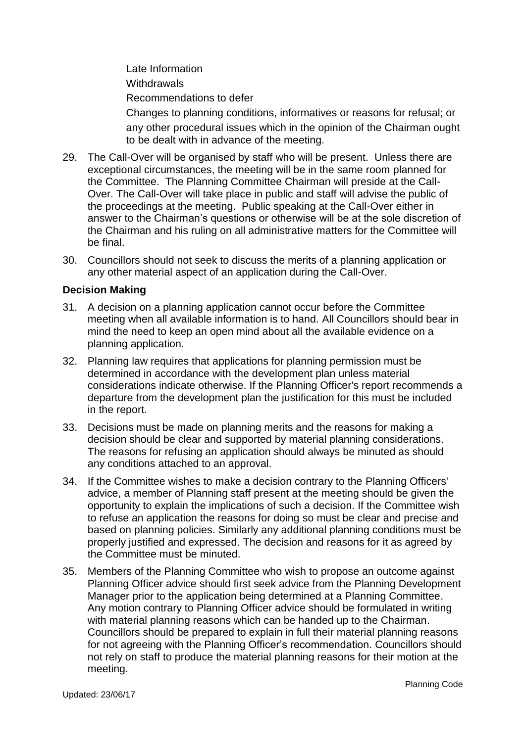Late Information **Withdrawals** Recommendations to defer

Changes to planning conditions, informatives or reasons for refusal; or any other procedural issues which in the opinion of the Chairman ought to be dealt with in advance of the meeting.

- 29. The Call-Over will be organised by staff who will be present. Unless there are exceptional circumstances, the meeting will be in the same room planned for the Committee. The Planning Committee Chairman will preside at the Call-Over. The Call-Over will take place in public and staff will advise the public of the proceedings at the meeting. Public speaking at the Call-Over either in answer to the Chairman's questions or otherwise will be at the sole discretion of the Chairman and his ruling on all administrative matters for the Committee will be final.
- 30. Councillors should not seek to discuss the merits of a planning application or any other material aspect of an application during the Call-Over.

#### **Decision Making**

- 31. A decision on a planning application cannot occur before the Committee meeting when all available information is to hand. All Councillors should bear in mind the need to keep an open mind about all the available evidence on a planning application.
- 32. Planning law requires that applications for planning permission must be determined in accordance with the development plan unless material considerations indicate otherwise. If the Planning Officer's report recommends a departure from the development plan the justification for this must be included in the report.
- 33. Decisions must be made on planning merits and the reasons for making a decision should be clear and supported by material planning considerations. The reasons for refusing an application should always be minuted as should any conditions attached to an approval.
- 34. If the Committee wishes to make a decision contrary to the Planning Officers' advice, a member of Planning staff present at the meeting should be given the opportunity to explain the implications of such a decision. If the Committee wish to refuse an application the reasons for doing so must be clear and precise and based on planning policies. Similarly any additional planning conditions must be properly justified and expressed. The decision and reasons for it as agreed by the Committee must be minuted.
- 35. Members of the Planning Committee who wish to propose an outcome against Planning Officer advice should first seek advice from the Planning Development Manager prior to the application being determined at a Planning Committee. Any motion contrary to Planning Officer advice should be formulated in writing with material planning reasons which can be handed up to the Chairman. Councillors should be prepared to explain in full their material planning reasons for not agreeing with the Planning Officer's recommendation. Councillors should not rely on staff to produce the material planning reasons for their motion at the meeting.